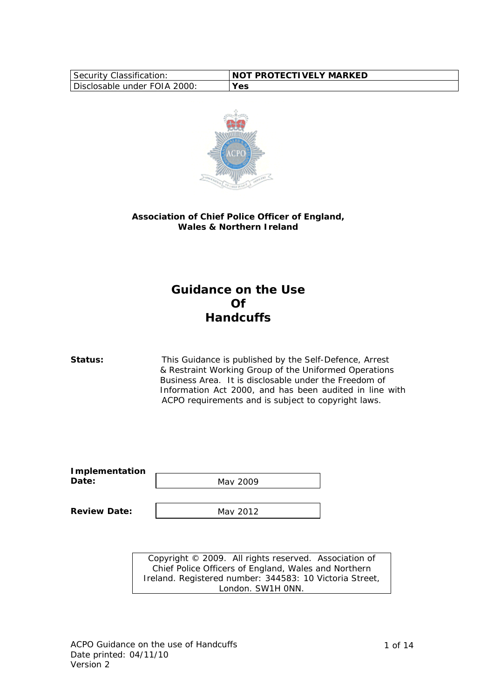| Security Classification:     | <b>INOT PROTECTIVELY MARKED</b> |
|------------------------------|---------------------------------|
| Disclosable under FOIA 2000: | <b>Yes</b>                      |



# **Association of Chief Police Officer of England, Wales & Northern Ireland**

# **Guidance on the Use Of Handcuffs**

**Status:** This Guidance is published by the Self-Defence, Arrest & Restraint Working Group of the Uniformed Operations Business Area. It is disclosable under the Freedom of Information Act 2000, and has been audited in line with ACPO requirements and is subject to copyright laws.

| <b>Implementation</b> |          |
|-----------------------|----------|
| Date:                 | May 2009 |
|                       |          |

**Review Date:** 

May 2012

Copyright © 2009. All rights reserved. Association of Chief Police Officers of England, Wales and Northern Ireland. Registered number: 344583: 10 Victoria Street, London. SW1H 0NN.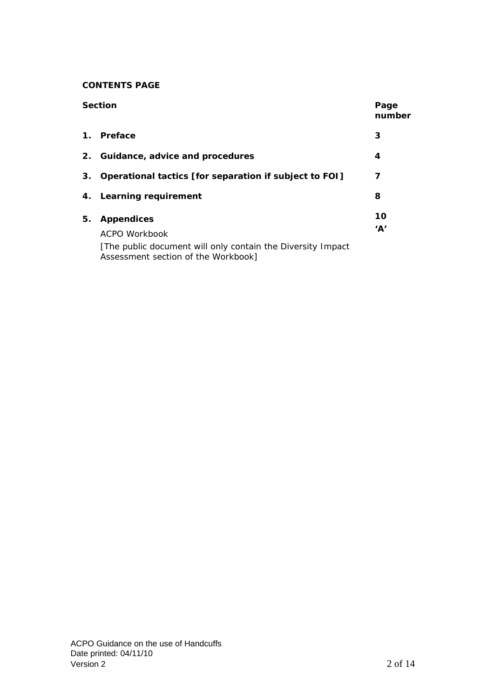# **CONTENTS PAGE**

| <b>Section</b> |                                                                                                     | Page<br>number |
|----------------|-----------------------------------------------------------------------------------------------------|----------------|
| 1.             | Preface                                                                                             | 3              |
|                | 2. Guidance, advice and procedures<br>4                                                             |                |
| 3.             | Operational tactics [for separation if subject to FOI]                                              | 7              |
|                | 4. Learning requirement                                                                             | 8              |
| 5.             | <b>Appendices</b><br>ACPO Workbook                                                                  | 10<br>'A'      |
|                | [The public document will only contain the Diversity Impact]<br>Assessment section of the Workbook] |                |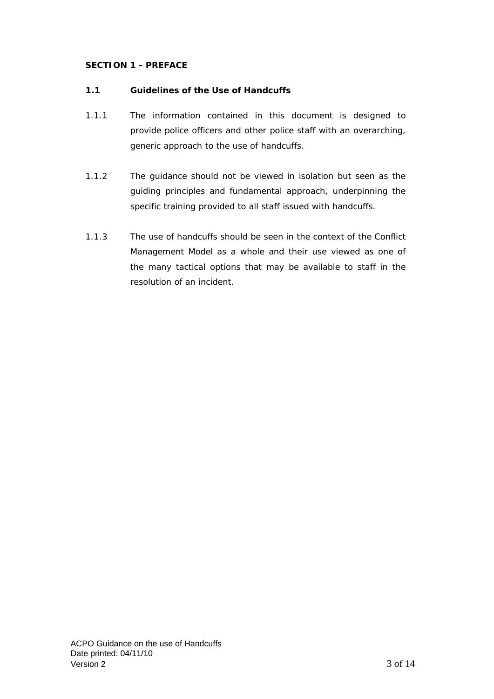# **SECTION 1 - PREFACE**

# **1.1 Guidelines of the Use of Handcuffs**

- 1.1.1 The information contained in this document is designed to provide police officers and other police staff with an overarching, generic approach to the use of handcuffs.
- 1.1.2 The guidance should not be viewed in isolation but seen as the guiding principles and fundamental approach, underpinning the specific training provided to all staff issued with handcuffs.
- 1.1.3 The use of handcuffs should be seen in the context of the Conflict Management Model as a whole and their use viewed as one of the many tactical options that may be available to staff in the resolution of an incident.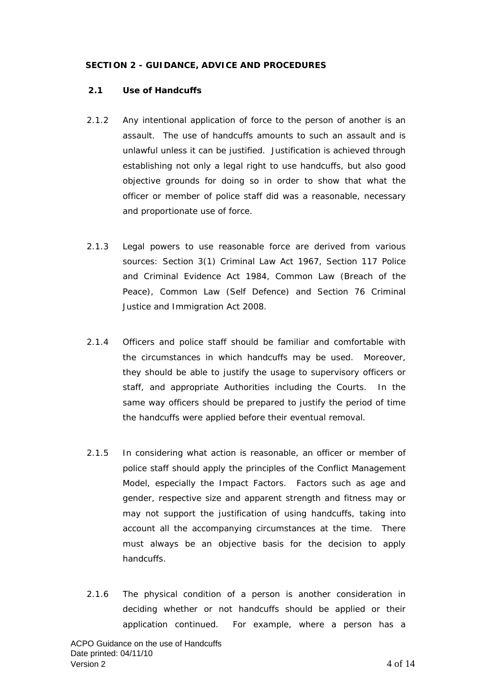# **SECTION 2 - GUIDANCE, ADVICE AND PROCEDURES**

# **2.1 Use of Handcuffs**

- 2.1.2 Any intentional application of force to the person of another is an assault. The use of handcuffs amounts to such an assault and is unlawful unless it can be justified. Justification is achieved through establishing not only a legal right to use handcuffs, but also good objective grounds for doing so in order to show that what the officer or member of police staff did was a reasonable, necessary and proportionate use of force.
- 2.1.3 Legal powers to use reasonable force are derived from various sources: Section 3(1) Criminal Law Act 1967, Section 117 Police and Criminal Evidence Act 1984, Common Law (Breach of the Peace), Common Law (Self Defence) and Section 76 Criminal Justice and Immigration Act 2008.
- 2.1.4 Officers and police staff should be familiar and comfortable with the circumstances in which handcuffs may be used. Moreover, they should be able to justify the usage to supervisory officers or staff, and appropriate Authorities including the Courts. In the same way officers should be prepared to justify the period of time the handcuffs were applied before their eventual removal.
- 2.1.5 In considering what action is reasonable, an officer or member of police staff should apply the principles of the Conflict Management Model, especially the Impact Factors. Factors such as age and gender, respective size and apparent strength and fitness may or may not support the justification of using handcuffs, taking into account all the accompanying circumstances at the time. There must always be an objective basis for the decision to apply handcuffs.
- 2.1.6 The physical condition of a person is another consideration in deciding whether or not handcuffs should be applied or their application continued. For example, where a person has a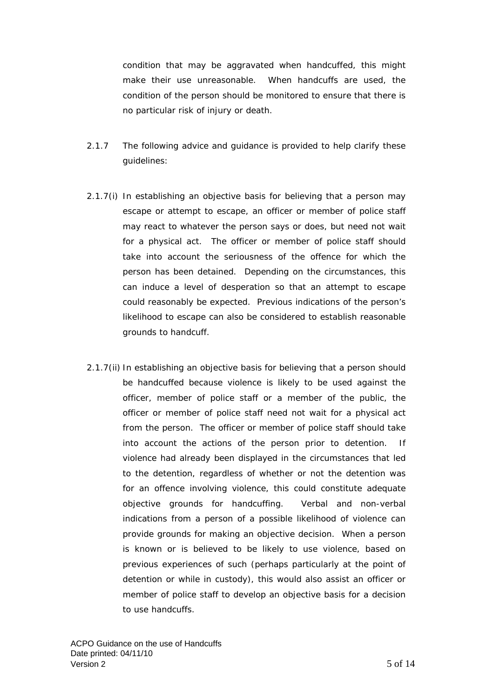condition that may be aggravated when handcuffed, this might make their use unreasonable. When handcuffs are used, the condition of the person should be monitored to ensure that there is no particular risk of injury or death.

- 2.1.7 The following advice and guidance is provided to help clarify these guidelines:
- 2.1.7(i) *In establishing an objective basis for believing that a person may escape or attempt to escape, an officer or member of police staff may react to whatever the person says or does, but need not wait for a physical act. The officer or member of police staff should*  take into account the seriousness of the offence for which the *person has been detained. Depending on the circumstances, this can induce a level of desperation so that an attempt to escape could reasonably be expected. Previous indications of the person's likelihood to escape can also be considered to establish reasonable grounds to handcuff.*
- 2.1.7(ii) *In establishing an objective basis for believing that a person should be handcuffed because violence is likely to be used against the officer, member of police staff or a member of the public, the officer or member of police staff need not wait for a physical act from the person. The officer or member of police staff should take into account the actions of the person prior to detention. If violence had already been displayed in the circumstances that led to the detention, regardless of whether or not the detention was*  for an offence involving violence, this could constitute adequate *objective grounds for handcuffing. Verbal and non-verbal indications from a person of a possible likelihood of violence can provide grounds for making an objective decision. When a person is known or is believed to be likely to use violence, based on previous experiences of such (perhaps particularly at the point of detention or while in custody), this would also assist an officer or member of police staff to develop an objective basis for a decision to use handcuffs.*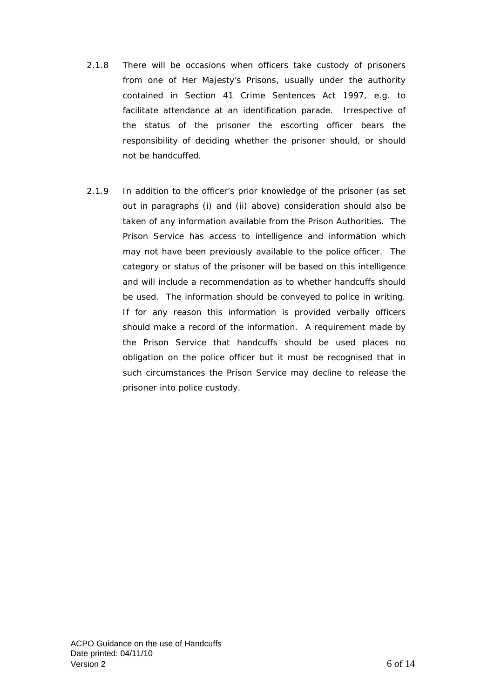- 2.1.8 There will be occasions when officers take custody of prisoners from one of Her Majesty's Prisons, usually under the authority contained in Section 41 Crime Sentences Act 1997, e.g. to facilitate attendance at an identification parade. Irrespective of the status of the prisoner the escorting officer bears the responsibility of deciding whether the prisoner should, or should not be handcuffed.
- 2.1.9 In addition to the officer's prior knowledge of the prisoner (as set out in paragraphs (i) and (ii) above) consideration should also be taken of any information available from the Prison Authorities. The Prison Service has access to intelligence and information which may not have been previously available to the police officer. The category or status of the prisoner will be based on this intelligence and will include a recommendation as to whether handcuffs should be used. The information should be conveyed to police in writing. If for any reason this information is provided verbally officers should make a record of the information. A requirement made by the Prison Service that handcuffs should be used places no obligation on the police officer but it must be recognised that in such circumstances the Prison Service may decline to release the prisoner into police custody.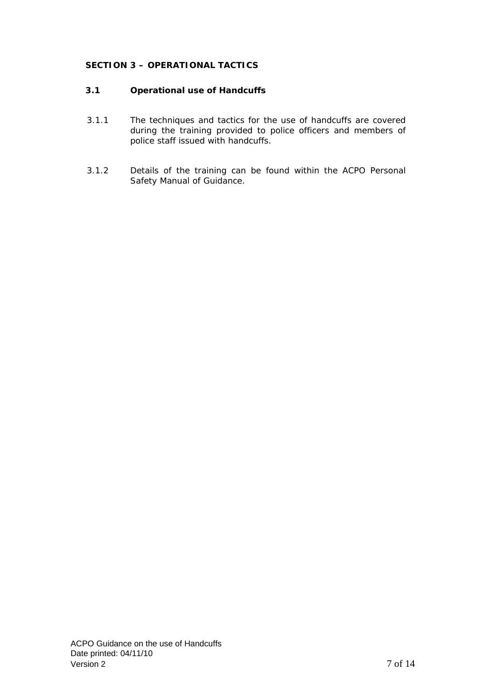# **SECTION 3 – OPERATIONAL TACTICS**

# **3.1 Operational use of Handcuffs**

- 3.1.1 The techniques and tactics for the use of handcuffs are covered during the training provided to police officers and members of police staff issued with handcuffs.
- 3.1.2 Details of the training can be found within the ACPO Personal Safety Manual of Guidance.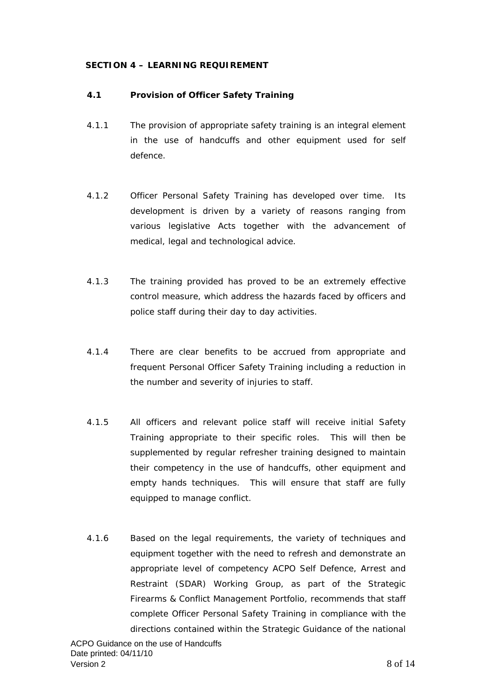# **SECTION 4 – LEARNING REQUIREMENT**

#### **4.1 Provision of Officer Safety Training**

- 4.1.1 The provision of appropriate safety training is an integral element in the use of handcuffs and other equipment used for self defence.
- 4.1.2 Officer Personal Safety Training has developed over time. Its development is driven by a variety of reasons ranging from various legislative Acts together with the advancement of medical, legal and technological advice.
- 4.1.3 The training provided has proved to be an extremely effective control measure, which address the hazards faced by officers and police staff during their day to day activities.
- 4.1.4 There are clear benefits to be accrued from appropriate and frequent Personal Officer Safety Training including a reduction in the number and severity of injuries to staff.
- 4.1.5 All officers and relevant police staff will receive initial Safety Training appropriate to their specific roles. This will then be supplemented by regular refresher training designed to maintain their competency in the use of handcuffs, other equipment and empty hands techniques. This will ensure that staff are fully equipped to manage conflict.
- 4.1.6 Based on the legal requirements, the variety of techniques and equipment together with the need to refresh and demonstrate an appropriate level of competency ACPO Self Defence, Arrest and Restraint (SDAR) Working Group, as part of the Strategic Firearms & Conflict Management Portfolio, recommends that staff complete Officer Personal Safety Training in compliance with the directions contained within the Strategic Guidance of the national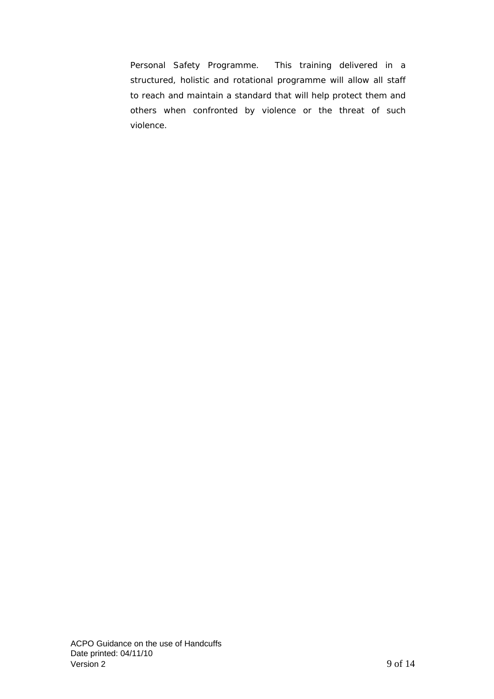Personal Safety Programme. This training delivered in a structured, holistic and rotational programme will allow all staff to reach and maintain a standard that will help protect them and others when confronted by violence or the threat of such violence.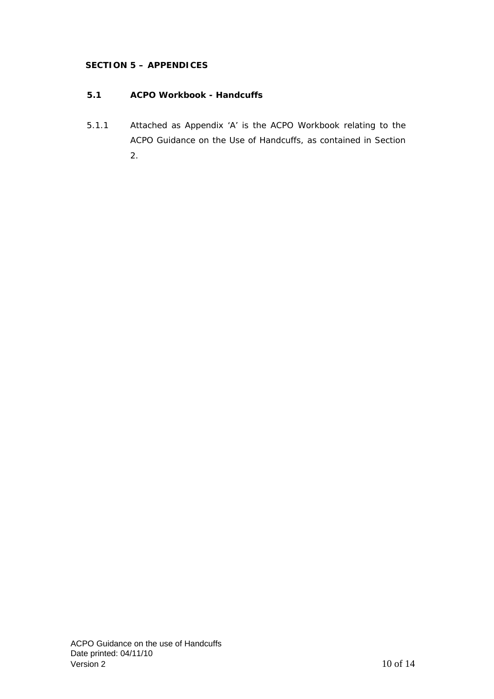# **SECTION 5 – APPENDICES**

# **5.1 ACPO Workbook - Handcuffs**

5.1.1 Attached as Appendix 'A' is the ACPO Workbook relating to the ACPO Guidance on the Use of Handcuffs, as contained in Section 2.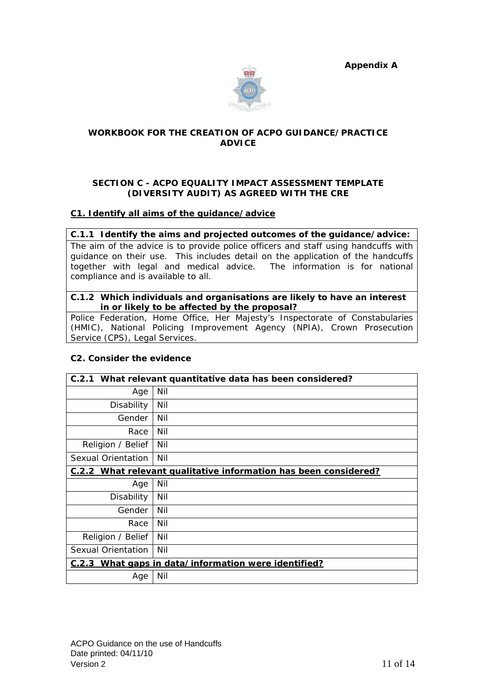**Appendix A**



# **WORKBOOK FOR THE CREATION OF ACPO GUIDANCE/PRACTICE ADVICE**

# **SECTION C - ACPO EQUALITY IMPACT ASSESSMENT TEMPLATE (DIVERSITY AUDIT) AS AGREED WITH THE CRE**

# **C1. Identify all aims of the guidance/advice**

## **C.1.1 Identify the aims and projected outcomes of the guidance/advice:**

The aim of the advice is to provide police officers and staff using handcuffs with guidance on their use. This includes detail on the application of the handcuffs together with legal and medical advice. The information is for national compliance and is available to all.

## **C.1.2 Which individuals and organisations are likely to have an interest in or likely to be affected by the proposal?**

Police Federation, Home Office, Her Majesty's Inspectorate of Constabularies (HMIC), National Policing Improvement Agency (NPIA), Crown Prosecution Service (CPS), Legal Services.

# **C2. Consider the evidence**

| C.2.1<br>What relevant quantitative data has been considered?           |     |
|-------------------------------------------------------------------------|-----|
| Age                                                                     | Nil |
| Disability                                                              | Nil |
| Gender                                                                  | Nil |
| Race                                                                    | Nil |
| Religion / Belief                                                       | Nil |
| Sexual Orientation                                                      | Nil |
| <b>C.2.2 What relevant qualitative information has been considered?</b> |     |
| Age                                                                     | Nil |
| Disability                                                              | Nil |
| Gender                                                                  | Nil |
| Race                                                                    | Nil |
| Religion / Belief                                                       | Nil |
| Sexual Orientation                                                      | Nil |
| C.2.3 What gaps in data/information were identified?                    |     |
| Age                                                                     | Nil |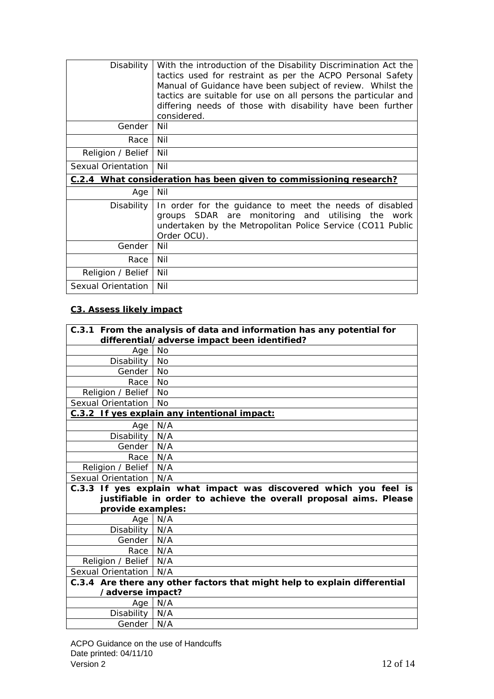| Disability                                                                | With the introduction of the Disability Discrimination Act the<br>tactics used for restraint as per the ACPO Personal Safety<br>Manual of Guidance have been subject of review. Whilst the<br>tactics are suitable for use on all persons the particular and<br>differing needs of those with disability have been further<br>considered. |
|---------------------------------------------------------------------------|-------------------------------------------------------------------------------------------------------------------------------------------------------------------------------------------------------------------------------------------------------------------------------------------------------------------------------------------|
| Gender                                                                    | Nil                                                                                                                                                                                                                                                                                                                                       |
| Race                                                                      | Nil                                                                                                                                                                                                                                                                                                                                       |
| Religion / Belief                                                         | Nil                                                                                                                                                                                                                                                                                                                                       |
| Sexual Orientation                                                        | Nil                                                                                                                                                                                                                                                                                                                                       |
| <b>C.2.4 What consideration has been given to commissioning research?</b> |                                                                                                                                                                                                                                                                                                                                           |
| Age                                                                       | Nil                                                                                                                                                                                                                                                                                                                                       |
| Disability                                                                | In order for the guidance to meet the needs of disabled<br>groups SDAR are monitoring and utilising the work<br>undertaken by the Metropolitan Police Service (CO11 Public<br>Order OCU).                                                                                                                                                 |
| Gender                                                                    | Nil                                                                                                                                                                                                                                                                                                                                       |
| Race                                                                      | Nil                                                                                                                                                                                                                                                                                                                                       |
| Religion / Belief                                                         | Nil                                                                                                                                                                                                                                                                                                                                       |
| Sexual Orientation                                                        | Nil                                                                                                                                                                                                                                                                                                                                       |

# **C3. Assess likely impact**

| C.3.1 From the analysis of data and information has any potential for<br>differential/adverse impact been identified? |                                                                   |
|-----------------------------------------------------------------------------------------------------------------------|-------------------------------------------------------------------|
| Age                                                                                                                   | <b>No</b>                                                         |
| Disability                                                                                                            | <b>No</b>                                                         |
| Gender   No                                                                                                           |                                                                   |
| Race                                                                                                                  | <b>No</b>                                                         |
| Religion / Belief                                                                                                     | <b>No</b>                                                         |
| Sexual Orientation                                                                                                    | No.                                                               |
|                                                                                                                       | C.3.2 If yes explain any intentional impact:                      |
| Age                                                                                                                   | N/A                                                               |
| Disability   N/A                                                                                                      |                                                                   |
| Gender   N/A                                                                                                          |                                                                   |
| Race N/A                                                                                                              |                                                                   |
| Religion / Belief   N/A                                                                                               |                                                                   |
| Sexual Orientation   N/A                                                                                              |                                                                   |
| C.3.3 If yes explain what impact was discovered which you feel is                                                     |                                                                   |
|                                                                                                                       | justifiable in order to achieve the overall proposal aims. Please |
| provide examples:                                                                                                     |                                                                   |
| Age                                                                                                                   | N/A                                                               |
| Disability   N/A                                                                                                      |                                                                   |
| Gender   N/A                                                                                                          |                                                                   |
| Race   N/A                                                                                                            |                                                                   |
| Religion / Belief   N/A                                                                                               |                                                                   |
| Sexual Orientation   N/A                                                                                              |                                                                   |
| C.3.4 Are there any other factors that might help to explain differential<br>/adverse impact?                         |                                                                   |
|                                                                                                                       |                                                                   |
|                                                                                                                       | Age N/A                                                           |
| Disability                                                                                                            | N/A                                                               |
| Gender   N/A                                                                                                          |                                                                   |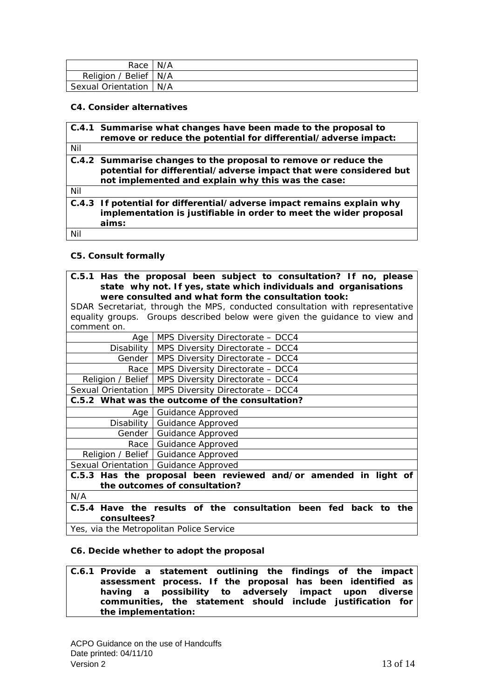| Race I                   | N/A |
|--------------------------|-----|
| Religion / Belief   N/A  |     |
| Sexual Orientation   N/A |     |

#### **C4. Consider alternatives**

|     | C.4.1 Summarise what changes have been made to the proposal to         |
|-----|------------------------------------------------------------------------|
|     | remove or reduce the potential for differential/adverse impact:        |
| Nil |                                                                        |
|     | C.4.2 Summarise changes to the proposal to remove or reduce the        |
|     | potential for differential/adverse impact that were considered but     |
|     | not implemented and explain why this was the case:                     |
| Nil |                                                                        |
|     | C.4.3 If potential for differential/adverse impact remains explain why |
|     | implementation is justifiable in order to meet the wider proposal      |
|     | aims:                                                                  |
| Nil |                                                                        |

## **C5. Consult formally**

**C.5.1 Has the proposal been subject to consultation? If no, please state why not. If yes, state which individuals and organisations were consulted and what form the consultation took:** 

SDAR Secretariat, through the MPS, conducted consultation with representative equality groups. Groups described below were given the guidance to view and comment on.

| Age         | MPS Diversity Directorate - DCC4                                       |
|-------------|------------------------------------------------------------------------|
|             | Disability   MPS Diversity Directorate - DCC4                          |
|             | Gender   MPS Diversity Directorate - DCC4                              |
| Race        | MPS Diversity Directorate - DCC4                                       |
|             | Religion / Belief   MPS Diversity Directorate - DCC4                   |
|             | Sexual Orientation   MPS Diversity Directorate - DCC4                  |
|             | C.5.2 What was the outcome of the consultation?                        |
| Age         | Guidance Approved                                                      |
|             | Disability   Guidance Approved                                         |
|             | Gender   Guidance Approved                                             |
|             | Race   Guidance Approved                                               |
|             | Religion / Belief   Guidance Approved                                  |
|             | Sexual Orientation   Guidance Approved                                 |
|             | C.5.3 Has the proposal been reviewed and/or amended in light of        |
|             | the outcomes of consultation?                                          |
| N/A         |                                                                        |
|             | C.5.4 Have the results of the consultation been fed back<br>the<br>to. |
| consultees? |                                                                        |
|             | Yes, via the Metropolitan Police Service                               |

#### **C6. Decide whether to adopt the proposal**

#### **C.6.1 Provide a statement outlining the findings of the impact assessment process. If the proposal has been identified as having a possibility to adversely impact upon diverse communities, the statement should include justification for the implementation:**